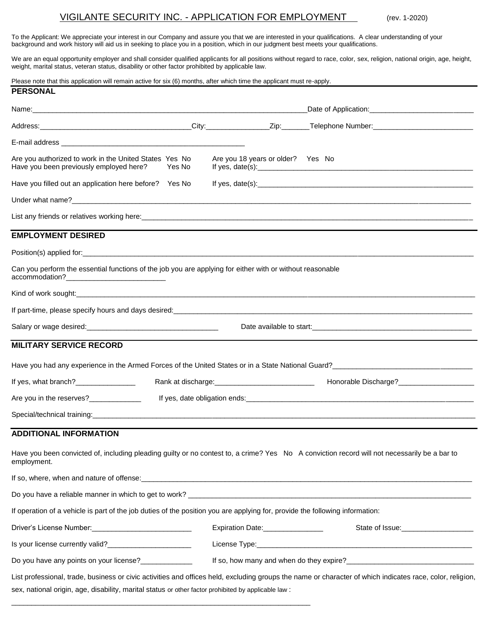# VIGILANTE SECURITY INC. - APPLICATION FOR EMPLOYMENT (rev. 1-2020)

To the Applicant: We appreciate your interest in our Company and assure you that we are interested in your qualifications. A clear understanding of your background and work history will aid us in seeking to place you in a position, which in our judgment best meets your qualifications.

We are an equal opportunity employer and shall consider qualified applicants for all positions without regard to race, color, sex, religion, national origin, age, height, weight, marital status, veteran status, disability or other factor prohibited by applicable law.

| Please note that this application will remain active for six (6) months, after which time the applicant must re-apply.                                                                                                                                            |                                   |                                                     |  |
|-------------------------------------------------------------------------------------------------------------------------------------------------------------------------------------------------------------------------------------------------------------------|-----------------------------------|-----------------------------------------------------|--|
| <b>PERSONAL</b>                                                                                                                                                                                                                                                   |                                   |                                                     |  |
|                                                                                                                                                                                                                                                                   |                                   |                                                     |  |
|                                                                                                                                                                                                                                                                   |                                   |                                                     |  |
|                                                                                                                                                                                                                                                                   |                                   |                                                     |  |
| Are you authorized to work in the United States Yes No<br>Have you been previously employed here? Yes No                                                                                                                                                          | Are you 18 years or older? Yes No |                                                     |  |
| Have you filled out an application here before? Yes No                                                                                                                                                                                                            |                                   |                                                     |  |
|                                                                                                                                                                                                                                                                   |                                   |                                                     |  |
| List any friends or relatives working here: example and contact the control of the control of the control of the control of the control of the control of the control of the control of the control of the control of the cont                                    |                                   |                                                     |  |
| <b>EMPLOYMENT DESIRED</b>                                                                                                                                                                                                                                         |                                   |                                                     |  |
| Position(s) applied for: example and the set of the set of the set of the set of the set of the set of the set of the set of the set of the set of the set of the set of the set of the set of the set of the set of the set o                                    |                                   |                                                     |  |
| Can you perform the essential functions of the job you are applying for either with or without reasonable                                                                                                                                                         |                                   |                                                     |  |
|                                                                                                                                                                                                                                                                   |                                   |                                                     |  |
| If part-time, please specify hours and days desired:<br>in the content of the content of the content of the content of the content of the content of the content of the content of the content of the content of the content of                                   |                                   |                                                     |  |
|                                                                                                                                                                                                                                                                   |                                   |                                                     |  |
| <b>MILITARY SERVICE RECORD</b>                                                                                                                                                                                                                                    |                                   |                                                     |  |
| Have you had any experience in the Armed Forces of the United States or in a State National Guard?<br>Have you had any experience in the Armed Forces of the United States or in a State National Guard?                                                          |                                   |                                                     |  |
|                                                                                                                                                                                                                                                                   |                                   |                                                     |  |
| If yes, what branch?_________________                                                                                                                                                                                                                             |                                   | Honorable Discharge?___________________             |  |
| Are you in the reserves?______________                                                                                                                                                                                                                            |                                   |                                                     |  |
|                                                                                                                                                                                                                                                                   |                                   |                                                     |  |
| <b>ADDITIONAL INFORMATION</b>                                                                                                                                                                                                                                     |                                   |                                                     |  |
| Have you been convicted of, including pleading guilty or no contest to, a crime? Yes No A conviction record will not necessarily be a bar to<br>employment.                                                                                                       |                                   |                                                     |  |
|                                                                                                                                                                                                                                                                   |                                   |                                                     |  |
|                                                                                                                                                                                                                                                                   |                                   |                                                     |  |
| If operation of a vehicle is part of the job duties of the position you are applying for, provide the following information:                                                                                                                                      |                                   |                                                     |  |
| Driver's License Number:<br><u> License Number:</u>                                                                                                                                                                                                               | Expiration Date:_________________ | State of Issue: Note: No. 1996. The State of Issue: |  |
| Is your license currently valid?<br><u> and a contract of</u> your license currently valid?<br><u>Letter and a contract of the set of the set of the set of the set of the set of the set of the set of the set of the set of the set of </u>                     |                                   |                                                     |  |
| Do you have any points on your license?______________                                                                                                                                                                                                             |                                   |                                                     |  |
| List professional, trade, business or civic activities and offices held, excluding groups the name or character of which indicates race, color, religion,<br>sex, national origin, age, disability, marital status or other factor prohibited by applicable law : |                                   |                                                     |  |

\_\_\_\_\_\_\_\_\_\_\_\_\_\_\_\_\_\_\_\_\_\_\_\_\_\_\_\_\_\_\_\_\_\_\_\_\_\_\_\_\_\_\_\_\_\_\_\_\_\_\_\_\_\_\_\_\_\_\_\_\_\_\_\_\_\_\_\_\_\_\_\_\_\_\_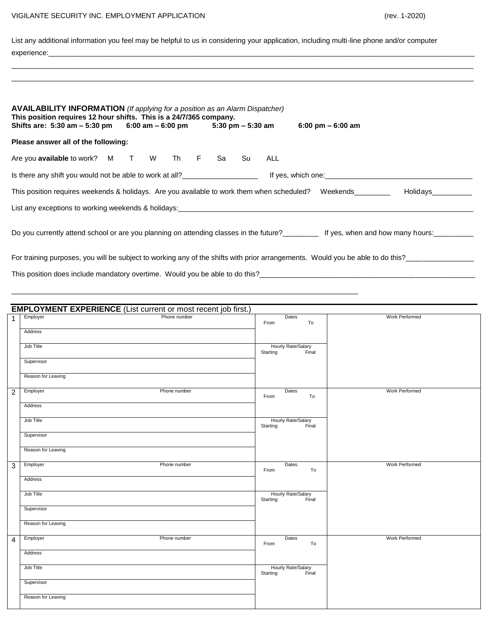# VIGILANTE SECURITY INC. EMPLOYMENT APPLICATION (rev. 1-2020)

List any additional information you feel may be helpful to us in considering your application, including multi-line phone and/or computer experience:\_\_\_\_\_\_\_\_\_\_\_\_\_\_\_\_\_\_\_\_\_\_\_\_\_\_\_\_\_\_\_\_\_\_\_\_\_\_\_\_\_\_\_\_\_\_\_\_\_\_\_\_\_\_\_\_\_\_\_\_\_\_\_\_\_\_\_\_\_\_\_\_\_\_\_\_\_\_\_\_\_\_\_\_\_\_\_\_\_\_\_\_\_\_\_\_\_\_\_\_\_\_\_\_\_\_\_

\_\_\_\_\_\_\_\_\_\_\_\_\_\_\_\_\_\_\_\_\_\_\_\_\_\_\_\_\_\_\_\_\_\_\_\_\_\_\_\_\_\_\_\_\_\_\_\_\_\_\_\_\_\_\_\_\_\_\_\_\_\_\_\_\_\_\_\_\_\_\_\_\_\_\_\_\_\_\_\_\_\_\_\_\_\_\_\_\_\_\_\_\_\_\_\_\_\_\_\_\_\_\_\_\_\_\_\_\_\_\_\_\_\_\_\_ \_\_\_\_\_\_\_\_\_\_\_\_\_\_\_\_\_\_\_\_\_\_\_\_\_\_\_\_\_\_\_\_\_\_\_\_\_\_\_\_\_\_\_\_\_\_\_\_\_\_\_\_\_\_\_\_\_\_\_\_\_\_\_\_\_\_\_\_\_\_\_\_\_\_\_\_\_\_\_\_\_\_\_\_\_\_\_\_\_\_\_\_\_\_\_\_\_\_\_\_\_\_\_\_\_\_\_\_\_\_\_\_\_\_\_\_

| <b>AVAILABILITY INFORMATION</b> (If applying for a position as an Alarm Dispatcher)<br>This position requires 12 hour shifts. This is a 24/7/365 company.<br>Shifts are: 5:30 am $-$ 5:30 pm 6:00 am $-$ 6:00 pm 5:30 pm $-$ 5:30 am |              |               | $6:00 \text{ pm} - 6:00 \text{ am}$                                                                  |  |  |  |  |
|--------------------------------------------------------------------------------------------------------------------------------------------------------------------------------------------------------------------------------------|--------------|---------------|------------------------------------------------------------------------------------------------------|--|--|--|--|
| Please answer all of the following:                                                                                                                                                                                                  |              |               |                                                                                                      |  |  |  |  |
| Are you available to work? M T W Th F Sa Su                                                                                                                                                                                          |              | ALL           |                                                                                                      |  |  |  |  |
|                                                                                                                                                                                                                                      |              |               | Is there any shift you would not be able to work at all?<br>If yes, which one:<br>If yes, which one: |  |  |  |  |
| This position requires weekends & holidays. Are you available to work them when scheduled? Weekends________                                                                                                                          |              |               | Holidavs <b>Serves</b>                                                                               |  |  |  |  |
|                                                                                                                                                                                                                                      |              |               |                                                                                                      |  |  |  |  |
| Do you currently attend school or are you planning on attending classes in the future?<br>If yes, when and how many hours:                                                                                                           |              |               |                                                                                                      |  |  |  |  |
| For training purposes, you will be subject to working any of the shifts with prior arrangements. Would you be able to do this?                                                                                                       |              |               |                                                                                                      |  |  |  |  |
|                                                                                                                                                                                                                                      |              |               |                                                                                                      |  |  |  |  |
|                                                                                                                                                                                                                                      |              |               |                                                                                                      |  |  |  |  |
|                                                                                                                                                                                                                                      |              |               |                                                                                                      |  |  |  |  |
| <b>EMPLOYMENT EXPERIENCE</b> (List current or most recent job first.)                                                                                                                                                                |              |               |                                                                                                      |  |  |  |  |
| Employer                                                                                                                                                                                                                             | Phone number | Dates<br>From | Work Performed<br>To                                                                                 |  |  |  |  |

| -1.            | Linpioyer<br><b>I</b> HOHE HUIHDEL | Dalos<br>From<br>To                           | <b>IVOINT CHOILING</b> |
|----------------|------------------------------------|-----------------------------------------------|------------------------|
|                | Address                            |                                               |                        |
|                | Job Title                          | Hourly Rate/Salary<br>rting Final<br>Starting |                        |
|                | Supervisor                         |                                               |                        |
|                | Reason for Leaving                 |                                               |                        |
| $\overline{2}$ | Phone number<br>Employer           | Dates<br>To<br>From                           | Work Performed         |
|                | Address                            |                                               |                        |
|                | Job Title                          | Hourly Rate/Salary<br>Final<br>Starting       |                        |
|                | Supervisor                         |                                               |                        |
|                | Reason for Leaving                 |                                               |                        |
| $\overline{3}$ | Employer<br>Phone number           | Dates<br>To<br>From                           | Work Performed         |
|                | Address                            |                                               |                        |
|                | Job Title                          | Hourly Rate/Salary<br>rting Final<br>Starting |                        |
|                | Supervisor                         |                                               |                        |
|                | Reason for Leaving                 |                                               |                        |
| $\overline{4}$ | Employer<br>Phone number           | Dates<br>From<br>To                           | Work Performed         |
|                | Address                            |                                               |                        |
|                | Job Title                          | Hourly Rate/Salary<br>ting Final<br>Starting  |                        |
|                | Supervisor                         |                                               |                        |
|                | Reason for Leaving                 |                                               |                        |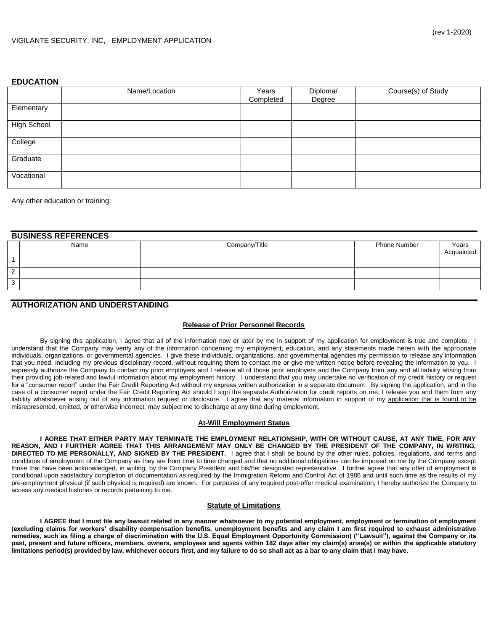## **EDUCATION**

|                    | Name/Location | Years<br>Completed | Diploma/<br>Degree | $\overline{\text{Course(s)}}$ of Study |
|--------------------|---------------|--------------------|--------------------|----------------------------------------|
| Elementary         |               |                    |                    |                                        |
| <b>High School</b> |               |                    |                    |                                        |
| College            |               |                    |                    |                                        |
| Graduate           |               |                    |                    |                                        |
| Vocational         |               |                    |                    |                                        |

Any other education or training:

| <b>BUSINESS REFERENCES</b> |                    |      |               |                     |                     |  |
|----------------------------|--------------------|------|---------------|---------------------|---------------------|--|
|                            |                    | Name | Company/Title | <b>Phone Number</b> | Years<br>Acquainted |  |
|                            |                    |      |               |                     |                     |  |
|                            | $\sim$<br><u>_</u> |      |               |                     |                     |  |
|                            | <sup>o</sup><br>ັ  |      |               |                     |                     |  |

## **AUTHORIZATION AND UNDERSTANDING**

## **Release of Prior Personnel Records**

By signing this application, I agree that all of the information now or later by me in support of my application for employment is true and complete. I understand that the Company may verify any of the information concerning my employment, education, and any statements made herein with the appropriate individuals, organizations, or governmental agencies. I give these individuals, organizations, and governmental agencies my permission to release any information that you need, including my previous disciplinary record, without requiring them to contact me or give me written notice before revealing the information to you. I expressly authorize the Company to contact my prior employers and I release all of those prior employers and the Company from any and all liability arising from their providing job-related and lawful information about my employment history. I understand that you may undertake no verification of my credit history or request for a "consumer report" under the Fair Credit Reporting Act without my express written authorization in a separate document. By signing the application, and in the case of a consumer report under the Fair Credit Reporting Act should I sign the separate Authorization for credit reports on me, I release you and them from any liability whatsoever arising out of any information request or disclosure. I agree that any material information in support of my application that is found to be misrepresented, omitted, or otherwise incorrect, may subject me to discharge at any time during employment.

## **At-Will Employment Status**

**I AGREE THAT EITHER PARTY MAY TERMINATE THE EMPLOYMENT RELATIONSHIP, WITH OR WITHOUT CAUSE, AT ANY TIME, FOR ANY REASON, AND I FURTHER AGREE THAT THIS ARRANGEMENT MAY ONLY BE CHANGED BY THE PRESIDENT OF THE COMPANY, IN WRITING, DIRECTED TO ME PERSONALLY, AND SIGNED BY THE PRESIDENT.** I agree that I shall be bound by the other rules, policies, regulations, and terms and conditions of employment of the Company as they are from time to time changed and that no additional obligations can be imposed on me by the Company except those that have been acknowledged, in writing, by the Company President and his/her designated representative. I further agree that any offer of employment is conditional upon satisfactory completion of documentation as required by the Immigration Reform and Control Act of 1986 and until such time as the results of my pre-employment physical (if such physical is required) are known. For purposes of any required post-offer medical examination, I hereby authorize the Company to access any medical histories or records pertaining to me.

#### **Statute of Limitations**

**I AGREE that I must file any lawsuit related in any manner whatsoever to my potential employment, employment or termination of employment (excluding claims for workers' disability compensation benefits, unemployment benefits and any claim I am first required to exhaust administrative**  remedies, such as filing a charge of discrimination with the U.S. Equal Employment Opportunity Commission) ("Lawsuit"), against the Company or its **past, present and future officers, members, owners, employees and agents within 182 days after my claim(s) arise(s) or within the applicable statutory limitations period(s) provided by law, whichever occurs first, and my failure to do so shall act as a bar to any claim that I may have.**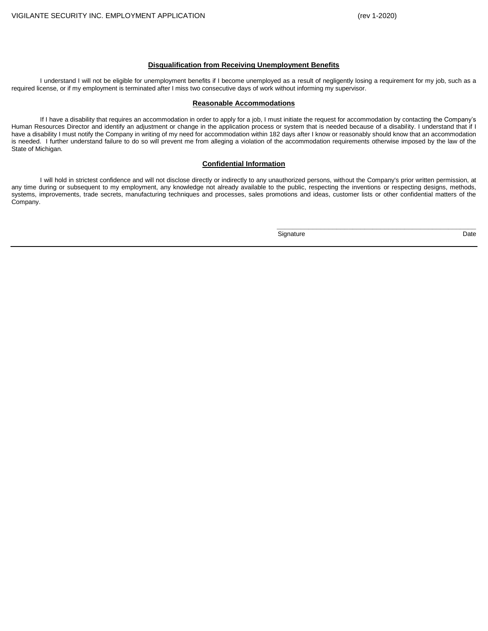**\_\_\_\_\_\_\_\_\_\_\_\_\_\_\_\_\_\_\_\_\_\_\_\_\_\_\_\_\_\_\_\_\_\_\_\_\_\_\_\_\_\_\_\_\_\_\_\_\_\_** 

#### **Disqualification from Receiving Unemployment Benefits**

I understand I will not be eligible for unemployment benefits if I become unemployed as a result of negligently losing a requirement for my job, such as a required license, or if my employment is terminated after I miss two consecutive days of work without informing my supervisor.

#### **Reasonable Accommodations**

If I have a disability that requires an accommodation in order to apply for a job, I must initiate the request for accommodation by contacting the Company's Human Resources Director and identify an adjustment or change in the application process or system that is needed because of a disability. I understand that if I have a disability I must notify the Company in writing of my need for accommodation within 182 days after I know or reasonably should know that an accommodation is needed. I further understand failure to do so will prevent me from alleging a violation of the accommodation requirements otherwise imposed by the law of the State of Michigan.

#### **Confidential Information**

I will hold in strictest confidence and will not disclose directly or indirectly to any unauthorized persons, without the Company's prior written permission, at any time during or subsequent to my employment, any knowledge not already available to the public, respecting the inventions or respecting designs, methods, systems, improvements, trade secrets, manufacturing techniques and processes, sales promotions and ideas, customer lists or other confidential matters of the Company.

Signature Date